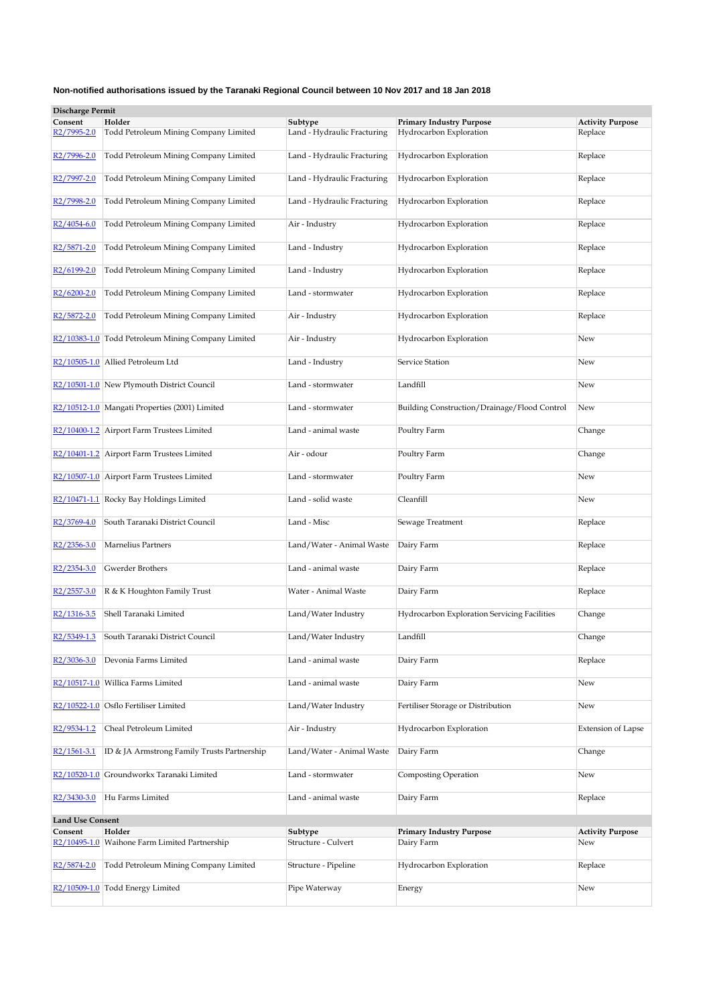| <b>Discharge Permit</b>  |                                                    |                             |                                              |                           |
|--------------------------|----------------------------------------------------|-----------------------------|----------------------------------------------|---------------------------|
| Consent                  | Holder                                             | Subtype                     | <b>Primary Industry Purpose</b>              | <b>Activity Purpose</b>   |
| R2/7995-2.0              | Todd Petroleum Mining Company Limited              | Land - Hydraulic Fracturing | Hydrocarbon Exploration                      | Replace                   |
| R2/7996-2.0              | Todd Petroleum Mining Company Limited              | Land - Hydraulic Fracturing | Hydrocarbon Exploration                      | Replace                   |
| R2/7997-2.0              | Todd Petroleum Mining Company Limited              | Land - Hydraulic Fracturing | Hydrocarbon Exploration                      | Replace                   |
| R2/7998-2.0              | Todd Petroleum Mining Company Limited              | Land - Hydraulic Fracturing | Hydrocarbon Exploration                      | Replace                   |
| R2/4054-6.0              | Todd Petroleum Mining Company Limited              | Air - Industry              | Hydrocarbon Exploration                      | Replace                   |
| R2/5871-2.0              | Todd Petroleum Mining Company Limited              | Land - Industry             | Hydrocarbon Exploration                      | Replace                   |
| R2/6199-2.0              | Todd Petroleum Mining Company Limited              | Land - Industry             | Hydrocarbon Exploration                      | Replace                   |
| R <sub>2</sub> /6200-2.0 | Todd Petroleum Mining Company Limited              | Land - stormwater           | Hydrocarbon Exploration                      | Replace                   |
| R <sub>2</sub> /5872-2.0 | Todd Petroleum Mining Company Limited              | Air - Industry              | Hydrocarbon Exploration                      | Replace                   |
|                          | R2/10383-1.0 Todd Petroleum Mining Company Limited | Air - Industry              | Hydrocarbon Exploration                      | New                       |
|                          | R2/10505-1.0 Allied Petroleum Ltd                  | Land - Industry             | Service Station                              | New                       |
|                          | R2/10501-1.0 New Plymouth District Council         | Land - stormwater           | Landfill                                     | New                       |
|                          | R2/10512-1.0 Mangati Properties (2001) Limited     | Land - stormwater           | Building Construction/Drainage/Flood Control | New                       |
|                          | R2/10400-1.2 Airport Farm Trustees Limited         | Land - animal waste         | Poultry Farm                                 | Change                    |
|                          | R2/10401-1.2 Airport Farm Trustees Limited         | Air - odour                 | Poultry Farm                                 | Change                    |
|                          | R2/10507-1.0 Airport Farm Trustees Limited         | Land - stormwater           | Poultry Farm                                 | New                       |
|                          | R2/10471-1.1 Rocky Bay Holdings Limited            | Land - solid waste          | Cleanfill                                    | New                       |
| R2/3769-4.0              | South Taranaki District Council                    | Land - Misc                 | Sewage Treatment                             | Replace                   |
| R2/2356-3.0              | Marnelius Partners                                 | Land/Water - Animal Waste   | Dairy Farm                                   | Replace                   |
| R2/2354-3.0              | Gwerder Brothers                                   | Land - animal waste         | Dairy Farm                                   | Replace                   |
| R2/2557-3.0              | R & K Houghton Family Trust                        | Water - Animal Waste        | Dairy Farm                                   | Replace                   |
| R2/1316-3.5              | Shell Taranaki Limited                             | Land/Water Industry         | Hydrocarbon Exploration Servicing Facilities | Change                    |
| R2/5349-1.3              | South Taranaki District Council                    | Land/Water Industry         | Landfill                                     | Change                    |
| R2/3036-3.0              | Devonia Farms Limited                              | Land - animal waste         | Dairy Farm                                   | Replace                   |
|                          | R2/10517-1.0 Willica Farms Limited                 | Land - animal waste         | Dairy Farm                                   | New                       |
|                          | R2/10522-1.0 Osflo Fertiliser Limited              | Land/Water Industry         | Fertiliser Storage or Distribution           | New                       |
| R2/9534-1.2              | Cheal Petroleum Limited                            | Air - Industry              | Hydrocarbon Exploration                      | <b>Extension of Lapse</b> |
| $R2/1561-3.1$            | ID & JA Armstrong Family Trusts Partnership        | Land/Water - Animal Waste   | Dairy Farm                                   | Change                    |
| R2/10520-1.0             | Groundworkx Taranaki Limited                       | Land - stormwater           | <b>Composting Operation</b>                  | New                       |
| R <sub>2</sub> /3430-3.0 | Hu Farms Limited                                   | Land - animal waste         | Dairy Farm                                   | Replace                   |
| <b>Land Use Consent</b>  |                                                    |                             |                                              |                           |
| Consent                  | Holder                                             | Subtype                     | <b>Primary Industry Purpose</b>              | <b>Activity Purpose</b>   |
|                          | R2/10495-1.0 Waihone Farm Limited Partnership      | Structure - Culvert         | Dairy Farm                                   | New                       |
| R <sub>2</sub> /5874-2.0 | Todd Petroleum Mining Company Limited              | Structure - Pipeline        | Hydrocarbon Exploration                      | Replace                   |
|                          | R2/10509-1.0 Todd Energy Limited                   | Pipe Waterway               | Energy                                       | New                       |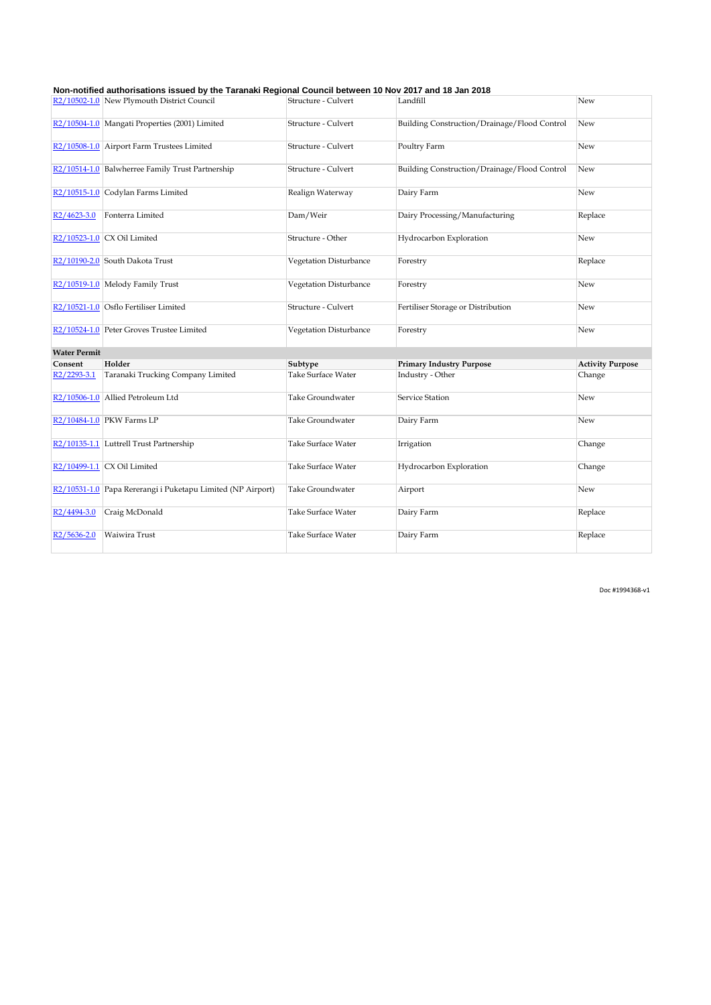|                          | R2/10502-1.0 New Plymouth District Council                  | Structure - Culvert       | Landfill                                     | New                     |
|--------------------------|-------------------------------------------------------------|---------------------------|----------------------------------------------|-------------------------|
|                          | R2/10504-1.0 Mangati Properties (2001) Limited              | Structure - Culvert       | Building Construction/Drainage/Flood Control | New                     |
|                          | R2/10508-1.0 Airport Farm Trustees Limited                  | Structure - Culvert       | Poultry Farm                                 | New                     |
|                          | R2/10514-1.0 Balwherree Family Trust Partnership            | Structure - Culvert       | Building Construction/Drainage/Flood Control | New                     |
|                          | R2/10515-1.0 Codylan Farms Limited                          | Realign Waterway          | Dairy Farm                                   | New                     |
| R <sub>2</sub> /4623-3.0 | Fonterra Limited                                            | Dam/Weir                  | Dairy Processing/Manufacturing               | Replace                 |
|                          | R2/10523-1.0 CX Oil Limited                                 | Structure - Other         | Hydrocarbon Exploration                      | New                     |
|                          | R <sub>2</sub> /10190-2.0 South Dakota Trust                | Vegetation Disturbance    | Forestry                                     | Replace                 |
|                          | R2/10519-1.0 Melody Family Trust                            | Vegetation Disturbance    | Forestry                                     | New                     |
|                          | R2/10521-1.0 Osflo Fertiliser Limited                       | Structure - Culvert       | Fertiliser Storage or Distribution           | New                     |
|                          | R2/10524-1.0 Peter Groves Trustee Limited                   | Vegetation Disturbance    | Forestry                                     | New                     |
| <b>Water Permit</b>      |                                                             |                           |                                              |                         |
| Consent                  | Holder                                                      | Subtype                   | <b>Primary Industry Purpose</b>              | <b>Activity Purpose</b> |
| R2/2293-3.1              | Taranaki Trucking Company Limited                           | <b>Take Surface Water</b> | Industry - Other                             | Change                  |
|                          | R2/10506-1.0 Allied Petroleum Ltd                           | Take Groundwater          | Service Station                              | New                     |
|                          | R2/10484-1.0 PKW Farms LP                                   | Take Groundwater          | Dairy Farm                                   | New                     |
|                          | R2/10135-1.1 Luttrell Trust Partnership                     | <b>Take Surface Water</b> | Irrigation                                   | Change                  |
|                          | R2/10499-1.1 $CX$ Oil Limited                               | Take Surface Water        | Hydrocarbon Exploration                      | Change                  |
|                          | R2/10531-1.0 Papa Rererangi i Puketapu Limited (NP Airport) | Take Groundwater          | Airport                                      | New                     |
| R2/4494-3.0              | Craig McDonald                                              | <b>Take Surface Water</b> | Dairy Farm                                   | Replace                 |
| R <sub>2</sub> /5636-2.0 | Waiwira Trust                                               | <b>Take Surface Water</b> | Dairy Farm                                   | Replace                 |

Doc #1994368-v1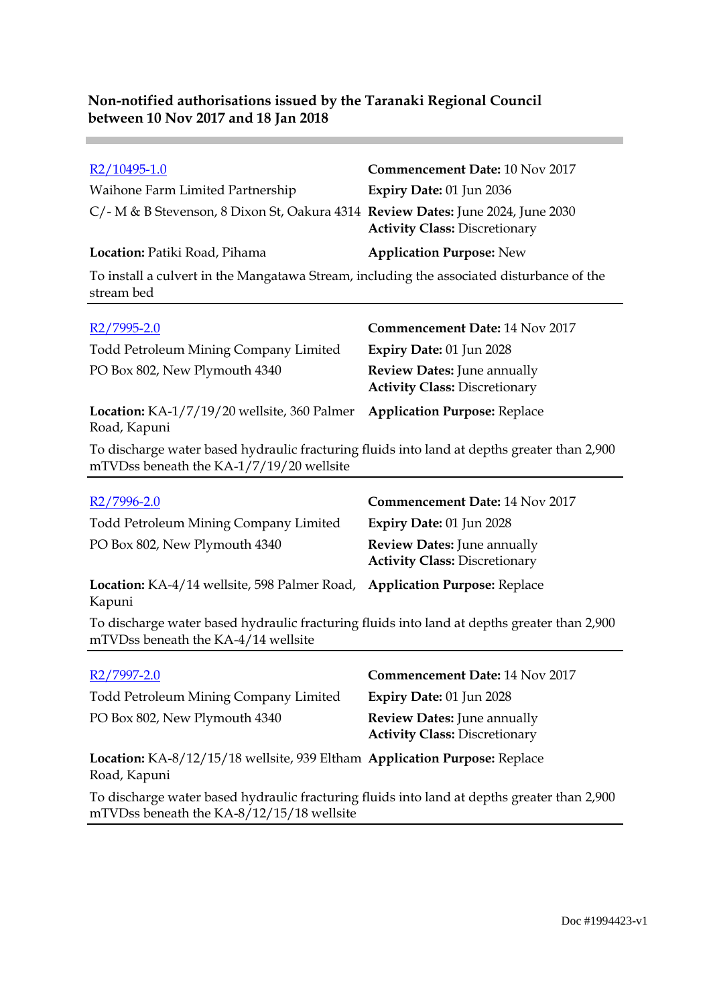**Contract** 

| R2/10495-1.0                                                                                                                            | Commencement Date: 10 Nov 2017                                             |
|-----------------------------------------------------------------------------------------------------------------------------------------|----------------------------------------------------------------------------|
| Waihone Farm Limited Partnership                                                                                                        | Expiry Date: 01 Jun 2036                                                   |
| C/- M & B Stevenson, 8 Dixon St, Oakura 4314 Review Dates: June 2024, June 2030                                                         | <b>Activity Class: Discretionary</b>                                       |
| <b>Location:</b> Patiki Road, Pihama                                                                                                    | <b>Application Purpose: New</b>                                            |
| To install a culvert in the Mangatawa Stream, including the associated disturbance of the<br>stream bed                                 |                                                                            |
| R <sub>2</sub> /7995-2.0                                                                                                                | <b>Commencement Date: 14 Nov 2017</b>                                      |
| Todd Petroleum Mining Company Limited                                                                                                   | Expiry Date: 01 Jun 2028                                                   |
| PO Box 802, New Plymouth 4340                                                                                                           | <b>Review Dates: June annually</b><br><b>Activity Class: Discretionary</b> |
| Location: KA-1/7/19/20 wellsite, 360 Palmer<br>Road, Kapuni                                                                             | <b>Application Purpose: Replace</b>                                        |
| To discharge water based hydraulic fracturing fluids into land at depths greater than 2,900<br>mTVDss beneath the KA-1/7/19/20 wellsite |                                                                            |

| R2/7996-2.0                                                                                                                        | <b>Commencement Date: 14 Nov 2017</b>                                      |
|------------------------------------------------------------------------------------------------------------------------------------|----------------------------------------------------------------------------|
| Todd Petroleum Mining Company Limited                                                                                              | <b>Expiry Date: 01 Jun 2028</b>                                            |
| PO Box 802, New Plymouth 4340                                                                                                      | <b>Review Dates:</b> June annually<br><b>Activity Class: Discretionary</b> |
| <b>Location:</b> KA-4/14 wellsite, 598 Palmer Road,<br>Kapuni                                                                      | <b>Application Purpose: Replace</b>                                        |
| To discharge water based hydraulic fracturing fluids into land at depths greater than 2,900<br>mTVDss beneath the KA-4/14 wellsite |                                                                            |
|                                                                                                                                    |                                                                            |
| R <sub>2</sub> /7997-2.0                                                                                                           | <b>Commencement Date: 14 Nov 2017</b>                                      |
| <b>Todd Petroleum Mining Company Limited</b>                                                                                       | <b>Expiry Date: 01 Jun 2028</b>                                            |
| PO Box 802, New Plymouth 4340                                                                                                      | <b>Review Dates:</b> June annually<br><b>Activity Class: Discretionary</b> |

**Location:** KA-8/12/15/18 wellsite, 939 Eltham **Application Purpose:** Replace Road, Kapuni

To discharge water based hydraulic fracturing fluids into land at depths greater than 2,900 mTVDss beneath the KA-8/12/15/18 wellsite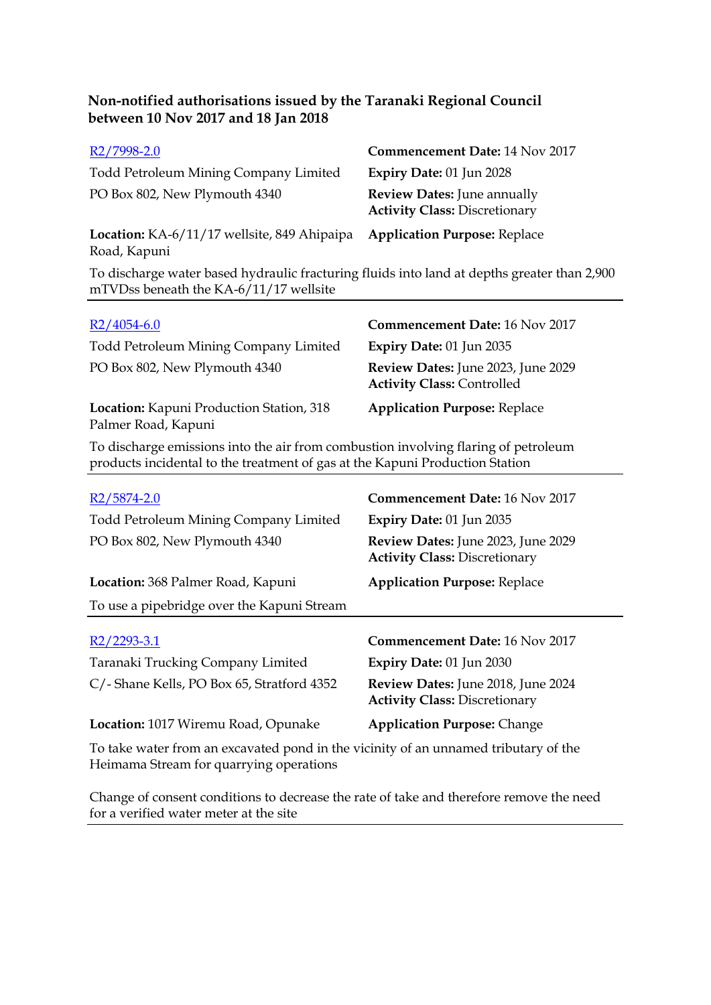| R2/7998-2.0                                                                                                                                                        | <b>Commencement Date: 14 Nov 2017</b>                                      |  |
|--------------------------------------------------------------------------------------------------------------------------------------------------------------------|----------------------------------------------------------------------------|--|
| Todd Petroleum Mining Company Limited                                                                                                                              | <b>Expiry Date: 01 Jun 2028</b>                                            |  |
| PO Box 802, New Plymouth 4340                                                                                                                                      | <b>Review Dates: June annually</b><br><b>Activity Class: Discretionary</b> |  |
| Location: KA-6/11/17 wellsite, 849 Ahipaipa<br>Road, Kapuni                                                                                                        | <b>Application Purpose: Replace</b>                                        |  |
| To discharge water based hydraulic fracturing fluids into land at depths greater than 2,900<br>mTVDss beneath the KA-6/11/17 wellsite                              |                                                                            |  |
|                                                                                                                                                                    |                                                                            |  |
| $R2/4054-6.0$                                                                                                                                                      | <b>Commencement Date: 16 Nov 2017</b>                                      |  |
| Todd Petroleum Mining Company Limited                                                                                                                              | <b>Expiry Date: 01 Jun 2035</b>                                            |  |
| PO Box 802, New Plymouth 4340                                                                                                                                      | Review Dates: June 2023, June 2029<br><b>Activity Class: Controlled</b>    |  |
| Location: Kapuni Production Station, 318<br>Palmer Road, Kapuni                                                                                                    | <b>Application Purpose: Replace</b>                                        |  |
| To discharge emissions into the air from combustion involving flaring of petroleum<br>products incidental to the treatment of gas at the Kapuni Production Station |                                                                            |  |

| R <sub>2</sub> /5874-2.0                                                                                                       | <b>Commencement Date: 16 Nov 2017</b>                                      |  |
|--------------------------------------------------------------------------------------------------------------------------------|----------------------------------------------------------------------------|--|
| Todd Petroleum Mining Company Limited                                                                                          | Expiry Date: 01 Jun 2035                                                   |  |
| PO Box 802, New Plymouth 4340                                                                                                  | Review Dates: June 2023, June 2029<br><b>Activity Class: Discretionary</b> |  |
| Location: 368 Palmer Road, Kapuni                                                                                              | <b>Application Purpose: Replace</b>                                        |  |
| To use a pipebridge over the Kapuni Stream                                                                                     |                                                                            |  |
|                                                                                                                                |                                                                            |  |
| R2/2293-3.1                                                                                                                    | Commencement Date: 16 Nov 2017                                             |  |
| Taranaki Trucking Company Limited                                                                                              | Expiry Date: 01 Jun 2030                                                   |  |
| C/- Shane Kells, PO Box 65, Stratford 4352                                                                                     | Review Dates: June 2018, June 2024<br><b>Activity Class: Discretionary</b> |  |
| Location: 1017 Wiremu Road, Opunake                                                                                            | <b>Application Purpose: Change</b>                                         |  |
| To take water from an excavated pond in the vicinity of an unnamed tributary of the<br>Heimama Stream for quarrying operations |                                                                            |  |

Change of consent conditions to decrease the rate of take and therefore remove the need for a verified water meter at the site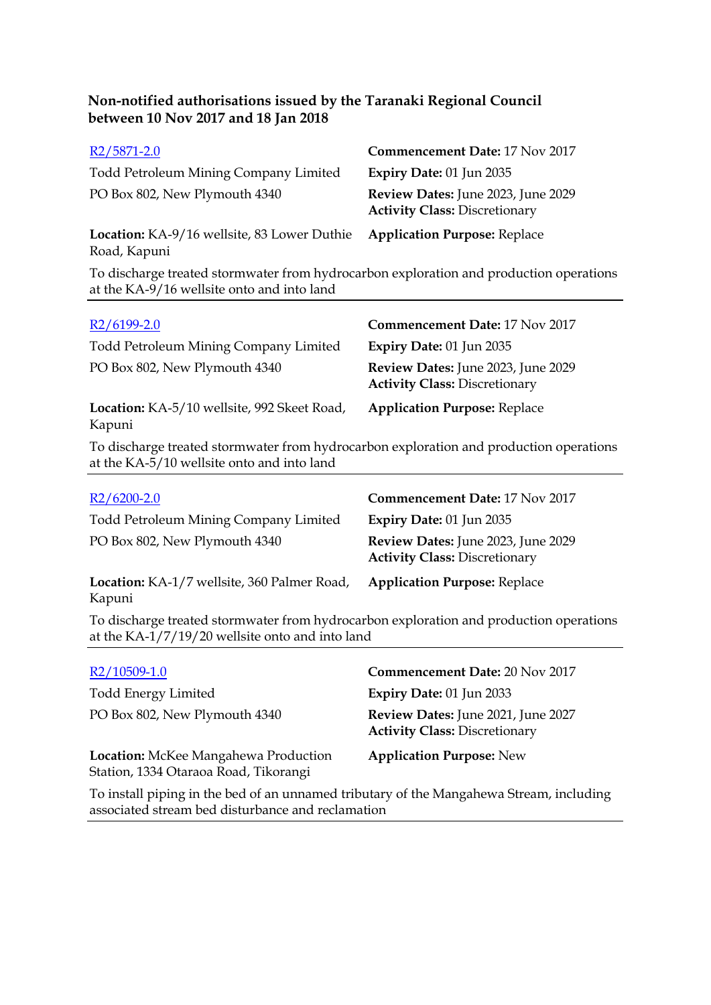| R <sub>2</sub> /5871-2.0                                                                   | <b>Commencement Date: 17 Nov 2017</b>                                      |
|--------------------------------------------------------------------------------------------|----------------------------------------------------------------------------|
| Todd Petroleum Mining Company Limited                                                      | Expiry Date: 01 Jun 2035                                                   |
| PO Box 802, New Plymouth 4340                                                              | Review Dates: June 2023, June 2029<br><b>Activity Class: Discretionary</b> |
| Location: KA-9/16 wellsite, 83 Lower Duthie<br>Road, Kapuni                                | <b>Application Purpose: Replace</b>                                        |
| To disclosure tuested eterminister from budrescriber surfaretien en dans durchien en energ |                                                                            |

To discharge treated stormwater from hydrocarbon exploration and production operations at the KA-9/16 wellsite onto and into land

| $R2/6199-2.0$                                                                                                                        | <b>Commencement Date: 17 Nov 2017</b>                                      |
|--------------------------------------------------------------------------------------------------------------------------------------|----------------------------------------------------------------------------|
| Todd Petroleum Mining Company Limited                                                                                                | Expiry Date: 01 Jun 2035                                                   |
| PO Box 802, New Plymouth 4340                                                                                                        | Review Dates: June 2023, June 2029<br><b>Activity Class: Discretionary</b> |
| Location: KA-5/10 wellsite, 992 Skeet Road,<br>Kapuni                                                                                | <b>Application Purpose: Replace</b>                                        |
| To discharge treated stormwater from hydrocarbon exploration and production operations<br>at the KA-5/10 wellsite onto and into land |                                                                            |

| $R2/6200-2.0$                                         | <b>Commencement Date: 17 Nov 2017</b>                                      |
|-------------------------------------------------------|----------------------------------------------------------------------------|
| <b>Todd Petroleum Mining Company Limited</b>          | Expiry Date: $01$ Jun 2035                                                 |
| PO Box 802, New Plymouth 4340                         | Review Dates: June 2023, June 2029<br><b>Activity Class: Discretionary</b> |
| Location: KA-1/7 wellsite, 360 Palmer Road,<br>Kapuni | <b>Application Purpose: Replace</b>                                        |

To discharge treated stormwater from hydrocarbon exploration and production operations at the KA-1/7/19/20 wellsite onto and into land

| $R2/10509-1.0$                                                                | <b>Commencement Date: 20 Nov 2017</b>                                      |
|-------------------------------------------------------------------------------|----------------------------------------------------------------------------|
| <b>Todd Energy Limited</b>                                                    | Expiry Date: 01 Jun 2033                                                   |
| PO Box 802, New Plymouth 4340                                                 | Review Dates: June 2021, June 2027<br><b>Activity Class: Discretionary</b> |
| Location: McKee Mangahewa Production<br>Station, 1334 Otaraoa Road, Tikorangi | <b>Application Purpose: New</b>                                            |

To install piping in the bed of an unnamed tributary of the Mangahewa Stream, including associated stream bed disturbance and reclamation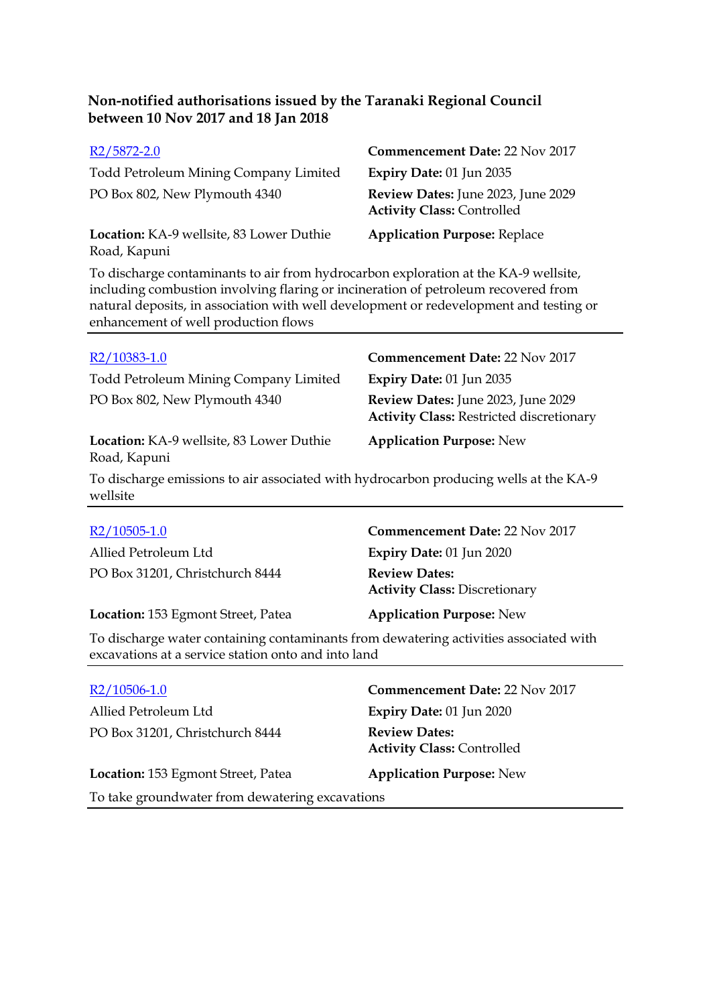| R <sub>2</sub> /5872-2.0                                                                                                                                                                                                                                                                                    | <b>Commencement Date: 22 Nov 2017</b>                                                 |  |  |
|-------------------------------------------------------------------------------------------------------------------------------------------------------------------------------------------------------------------------------------------------------------------------------------------------------------|---------------------------------------------------------------------------------------|--|--|
| <b>Todd Petroleum Mining Company Limited</b>                                                                                                                                                                                                                                                                | Expiry Date: 01 Jun 2035                                                              |  |  |
| PO Box 802, New Plymouth 4340                                                                                                                                                                                                                                                                               | Review Dates: June 2023, June 2029<br><b>Activity Class: Controlled</b>               |  |  |
| Location: KA-9 wellsite, 83 Lower Duthie<br>Road, Kapuni                                                                                                                                                                                                                                                    | <b>Application Purpose: Replace</b>                                                   |  |  |
| To discharge contaminants to air from hydrocarbon exploration at the KA-9 wellsite,<br>including combustion involving flaring or incineration of petroleum recovered from<br>natural deposits, in association with well development or redevelopment and testing or<br>enhancement of well production flows |                                                                                       |  |  |
| R2/10383-1.0                                                                                                                                                                                                                                                                                                | <b>Commencement Date: 22 Nov 2017</b>                                                 |  |  |
| Todd Petroleum Mining Company Limited                                                                                                                                                                                                                                                                       | Expiry Date: 01 Jun 2035                                                              |  |  |
| PO Box 802, New Plymouth 4340                                                                                                                                                                                                                                                                               | Review Dates: June 2023, June 2029<br><b>Activity Class: Restricted discretionary</b> |  |  |
| Location: KA-9 wellsite, 83 Lower Duthie<br>Road, Kapuni                                                                                                                                                                                                                                                    | <b>Application Purpose: New</b>                                                       |  |  |
| To discharge emissions to air associated with hydrocarbon producing wells at the KA-9<br>wellsite                                                                                                                                                                                                           |                                                                                       |  |  |
| $R2/10505-1.0$                                                                                                                                                                                                                                                                                              | <b>Commencement Date: 22 Nov 2017</b>                                                 |  |  |
| Allied Petroleum Ltd                                                                                                                                                                                                                                                                                        | Expiry Date: 01 Jun 2020                                                              |  |  |
| PO Box 31201, Christchurch 8444                                                                                                                                                                                                                                                                             | <b>Review Dates:</b><br><b>Activity Class: Discretionary</b>                          |  |  |
| Location: 153 Egmont Street, Patea                                                                                                                                                                                                                                                                          | <b>Application Purpose: New</b>                                                       |  |  |
| To discharge water containing contaminants from dewatering activities associated with<br>excavations at a service station onto and into land                                                                                                                                                                |                                                                                       |  |  |

| $R2/10506-1.0$                                                        | <b>Commencement Date: 22 Nov 2017</b>                     |  |
|-----------------------------------------------------------------------|-----------------------------------------------------------|--|
| Allied Petroleum Ltd                                                  | <b>Expiry Date: 01 Jun 2020</b>                           |  |
| PO Box 31201, Christchurch 8444                                       | <b>Review Dates:</b><br><b>Activity Class: Controlled</b> |  |
| Location: 153 Egmont Street, Patea<br><b>Application Purpose: New</b> |                                                           |  |
| To take groundwater from dewatering excavations                       |                                                           |  |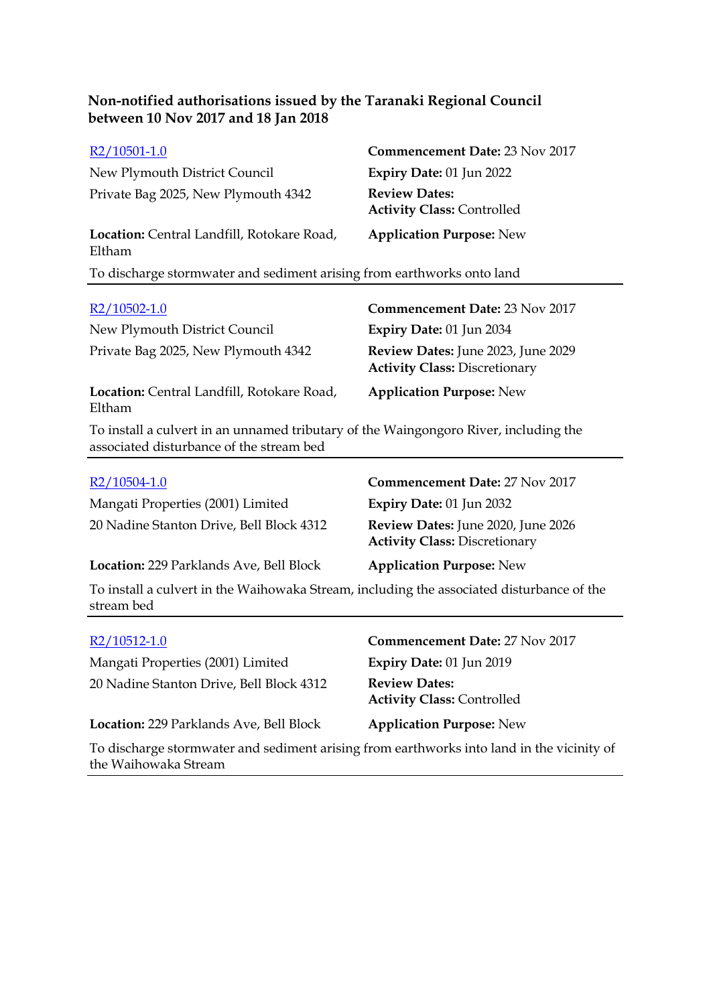| R2/10501-1.0                                                                                                                     | Commencement Date: 23 Nov 2017                                             |
|----------------------------------------------------------------------------------------------------------------------------------|----------------------------------------------------------------------------|
| New Plymouth District Council                                                                                                    | Expiry Date: 01 Jun 2022                                                   |
| Private Bag 2025, New Plymouth 4342                                                                                              | <b>Review Dates:</b><br><b>Activity Class: Controlled</b>                  |
| Location: Central Landfill, Rotokare Road,<br>Eltham                                                                             | <b>Application Purpose: New</b>                                            |
| To discharge stormwater and sediment arising from earthworks onto land                                                           |                                                                            |
| R2/10502-1.0                                                                                                                     | <b>Commencement Date: 23 Nov 2017</b>                                      |
| New Plymouth District Council                                                                                                    | Expiry Date: 01 Jun 2034                                                   |
| Private Bag 2025, New Plymouth 4342                                                                                              | Review Dates: June 2023, June 2029<br><b>Activity Class: Discretionary</b> |
| Location: Central Landfill, Rotokare Road,<br>Eltham                                                                             | <b>Application Purpose: New</b>                                            |
| To install a culvert in an unnamed tributary of the Waingongoro River, including the<br>associated disturbance of the stream bed |                                                                            |
| $R2/10504-1.0$                                                                                                                   | Commencement Date: 27 Nov 2017                                             |
| Mangati Properties (2001) Limited                                                                                                | Expiry Date: 01 Jun 2032                                                   |
| 20 Nadine Stanton Drive, Bell Block 4312                                                                                         | Review Dates: June 2020, June 2026<br><b>Activity Class: Discretionary</b> |
| Location: 229 Parklands Ave, Bell Block                                                                                          | <b>Application Purpose: New</b>                                            |
| To install a culvert in the Waihowaka Stream, including the associated disturbance of the<br>stream bed                          |                                                                            |
| R2/10512-1.0                                                                                                                     | <b>Commencement Date: 27 Nov 2017</b>                                      |
| Mangati Properties (2001) Limited                                                                                                | Expiry Date: 01 Jun 2019                                                   |
| 20 Nadine Stanton Drive, Bell Block 4312                                                                                         | <b>Review Dates:</b><br><b>Activity Class: Controlled</b>                  |

**Location:** 229 Parklands Ave, Bell Block **Application Purpose:** New

**Activity Class:** Controlled

To discharge stormwater and sediment arising from earthworks into land in the vicinity of the Waihowaka Stream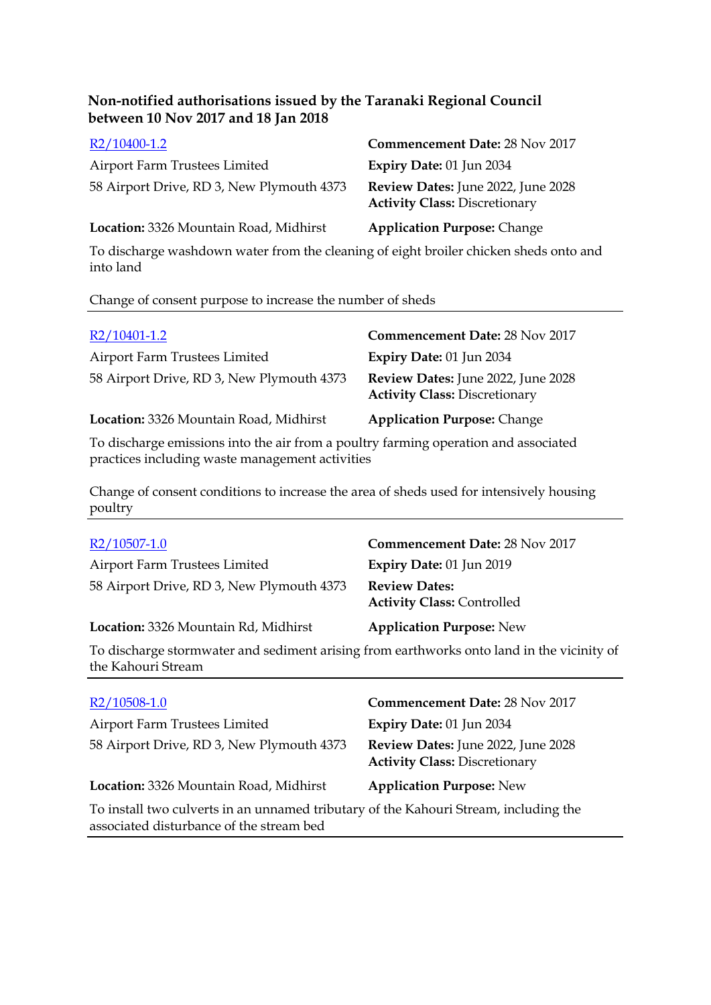| R2/10400-1.2                              | <b>Commencement Date: 28 Nov 2017</b>                                      |
|-------------------------------------------|----------------------------------------------------------------------------|
| Airport Farm Trustees Limited             | <b>Expiry Date: 01 Jun 2034</b>                                            |
| 58 Airport Drive, RD 3, New Plymouth 4373 | Review Dates: June 2022, June 2028<br><b>Activity Class: Discretionary</b> |
| Location: 3326 Mountain Road, Midhirst    | <b>Application Purpose: Change</b>                                         |

To discharge washdown water from the cleaning of eight broiler chicken sheds onto and into land

### Change of consent purpose to increase the number of sheds

| R2/10401-1.2                                                                                                   | <b>Commencement Date: 28 Nov 2017</b>                                      |
|----------------------------------------------------------------------------------------------------------------|----------------------------------------------------------------------------|
| Airport Farm Trustees Limited                                                                                  | Expiry Date: 01 Jun 2034                                                   |
| 58 Airport Drive, RD 3, New Plymouth 4373                                                                      | Review Dates: June 2022, June 2028<br><b>Activity Class: Discretionary</b> |
| Location: 3326 Mountain Road, Midhirst                                                                         | <b>Application Purpose: Change</b>                                         |
| The distribution of contests are taken the retardance of a continue democracy consistence and respectively dis |                                                                            |

To discharge emissions into the air from a poultry farming operation and associated practices including waste management activities

Change of consent conditions to increase the area of sheds used for intensively housing poultry

| R2/10507-1.0                                                                                                    | <b>Commencement Date: 28 Nov 2017</b>                     |
|-----------------------------------------------------------------------------------------------------------------|-----------------------------------------------------------|
| Airport Farm Trustees Limited                                                                                   | Expiry Date: 01 Jun 2019                                  |
| 58 Airport Drive, RD 3, New Plymouth 4373                                                                       | <b>Review Dates:</b><br><b>Activity Class: Controlled</b> |
| Location: 3326 Mountain Rd, Midhirst                                                                            | <b>Application Purpose: New</b>                           |
| To discharge stormwater and sediment arising from earthworks onto land in the vicinity of<br>the Kahouri Stream |                                                           |

| $R2/10508-1.0$                                                                                                                   | <b>Commencement Date: 28 Nov 2017</b>                                      |
|----------------------------------------------------------------------------------------------------------------------------------|----------------------------------------------------------------------------|
| Airport Farm Trustees Limited                                                                                                    | Expiry Date: 01 Jun 2034                                                   |
| 58 Airport Drive, RD 3, New Plymouth 4373                                                                                        | Review Dates: June 2022, June 2028<br><b>Activity Class: Discretionary</b> |
| Location: 3326 Mountain Road, Midhirst                                                                                           | <b>Application Purpose: New</b>                                            |
| To install two culverts in an unnamed tributary of the Kahouri Stream, including the<br>associated disturbance of the stream bed |                                                                            |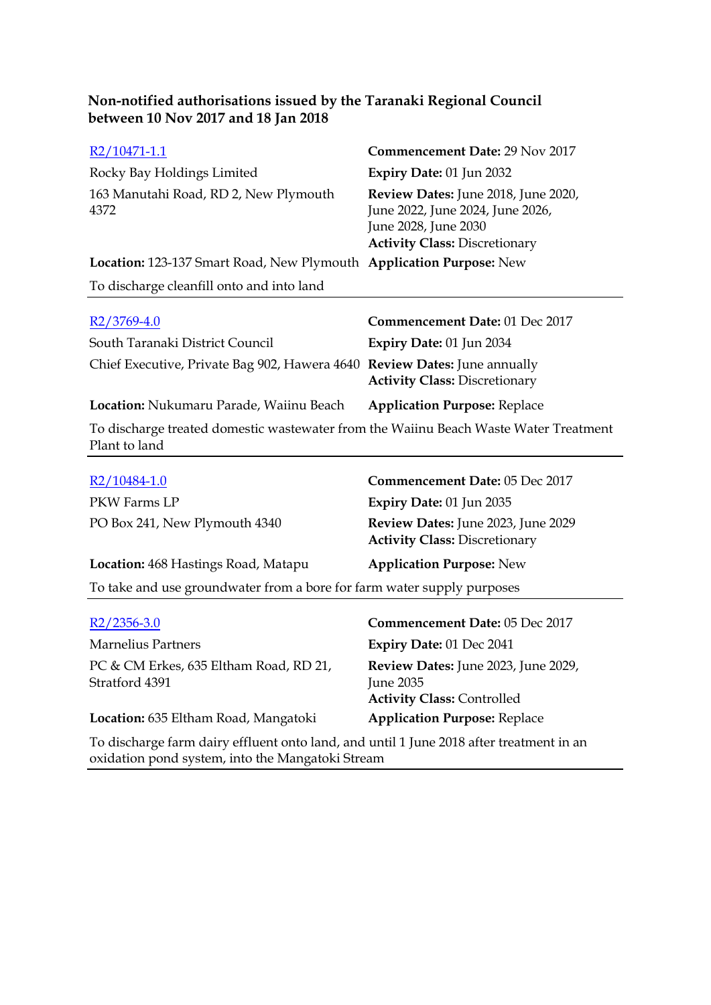| R2/10471-1.1                                                                                          | <b>Commencement Date: 29 Nov 2017</b>                                                                                                   |
|-------------------------------------------------------------------------------------------------------|-----------------------------------------------------------------------------------------------------------------------------------------|
| Rocky Bay Holdings Limited                                                                            | Expiry Date: 01 Jun 2032                                                                                                                |
| 163 Manutahi Road, RD 2, New Plymouth<br>4372                                                         | Review Dates: June 2018, June 2020,<br>June 2022, June 2024, June 2026,<br>June 2028, June 2030<br><b>Activity Class: Discretionary</b> |
| <b>Location: 123-137 Smart Road, New Plymouth Application Purpose: New</b>                            |                                                                                                                                         |
| To discharge cleanfill onto and into land                                                             |                                                                                                                                         |
| $R2/3769-4.0$                                                                                         | Commencement Date: 01 Dec 2017                                                                                                          |
| South Taranaki District Council                                                                       | <b>Expiry Date: 01 Jun 2034</b>                                                                                                         |
| Chief Executive, Private Bag 902, Hawera 4640 Review Dates: June annually                             | <b>Activity Class: Discretionary</b>                                                                                                    |
| Location: Nukumaru Parade, Waiinu Beach                                                               | <b>Application Purpose: Replace</b>                                                                                                     |
| To discharge treated domestic wastewater from the Waiinu Beach Waste Water Treatment<br>Plant to land |                                                                                                                                         |
| $R2/10484-1.0$                                                                                        | Commencement Date: 05 Dec 2017                                                                                                          |
| PKW Farms I P                                                                                         | $F$ xniry Date: 01 $\overline{I}$ 110 $2035$                                                                                            |

| PKW Farms LP                                                           | <b>Expiry Date: 01 Jun 2035</b>                                            |  |
|------------------------------------------------------------------------|----------------------------------------------------------------------------|--|
| PO Box 241, New Plymouth 4340                                          | Review Dates: June 2023, June 2029<br><b>Activity Class: Discretionary</b> |  |
| Location: 468 Hastings Road, Matapu                                    | <b>Application Purpose: New</b>                                            |  |
| To take and use groundwater from a bore for farm water supply purposes |                                                                            |  |
|                                                                        |                                                                            |  |

| $R2/2356-3.0$                                                                          | <b>Commencement Date: 05 Dec 2017</b>                                                        |
|----------------------------------------------------------------------------------------|----------------------------------------------------------------------------------------------|
| <b>Marnelius Partners</b>                                                              | Expiry Date: 01 Dec 2041                                                                     |
| PC & CM Erkes, 635 Eltham Road, RD 21,<br>Stratford 4391                               | <b>Review Dates:</b> June 2023, June 2029,<br>June 2035<br><b>Activity Class: Controlled</b> |
| Location: 635 Eltham Road, Mangatoki                                                   | <b>Application Purpose: Replace</b>                                                          |
| To discharge farm dairy effluent onto land and until 1 June 2018 after treatment in an |                                                                                              |

To discharge farm dairy effluent onto land, and until 1 June 2018 after treatment in an oxidation pond system, into the Mangatoki Stream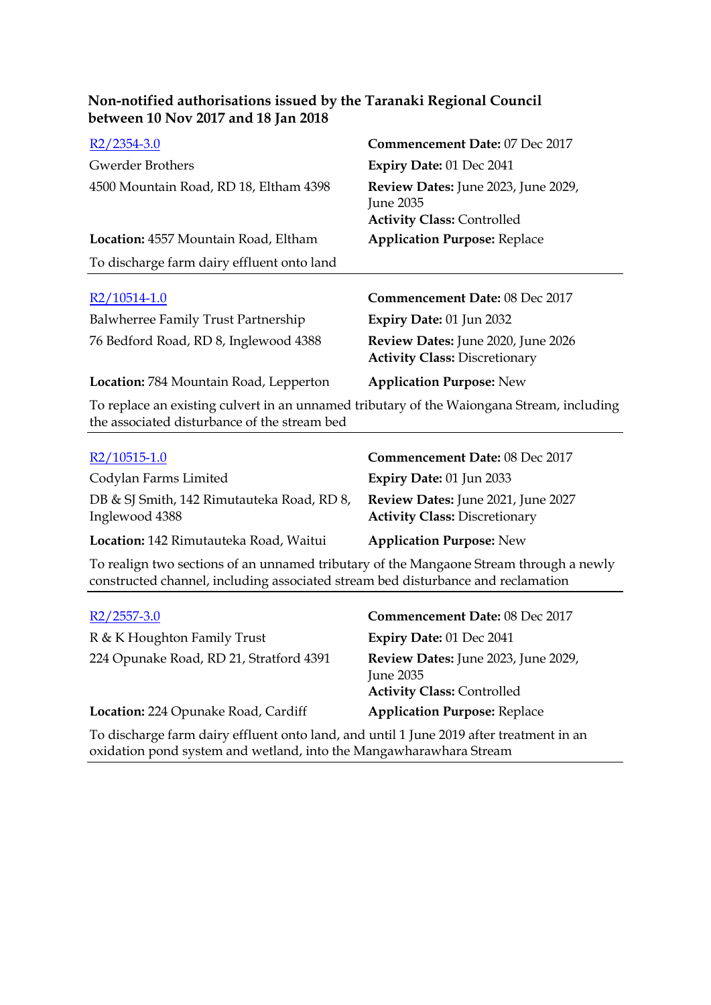| between 10 Nov 2017 and 18 Jan 2018                                                                                                                                        |                                                                                              |  |
|----------------------------------------------------------------------------------------------------------------------------------------------------------------------------|----------------------------------------------------------------------------------------------|--|
| $R2/2354-3.0$                                                                                                                                                              | Commencement Date: 07 Dec 2017                                                               |  |
| <b>Gwerder Brothers</b>                                                                                                                                                    | <b>Expiry Date: 01 Dec 2041</b>                                                              |  |
| 4500 Mountain Road, RD 18, Eltham 4398                                                                                                                                     | Review Dates: June 2023, June 2029,<br><b>June 2035</b><br><b>Activity Class: Controlled</b> |  |
| Location: 4557 Mountain Road, Eltham                                                                                                                                       | <b>Application Purpose: Replace</b>                                                          |  |
| To discharge farm dairy effluent onto land                                                                                                                                 |                                                                                              |  |
| $R2/10514-1.0$                                                                                                                                                             | <b>Commencement Date: 08 Dec 2017</b>                                                        |  |
| Balwherree Family Trust Partnership                                                                                                                                        | Expiry Date: 01 Jun 2032                                                                     |  |
| 76 Bedford Road, RD 8, Inglewood 4388                                                                                                                                      | Review Dates: June 2020, June 2026<br><b>Activity Class: Discretionary</b>                   |  |
| Location: 784 Mountain Road, Lepperton                                                                                                                                     | <b>Application Purpose: New</b>                                                              |  |
| To replace an existing culvert in an unnamed tributary of the Waiongana Stream, including<br>the associated disturbance of the stream bed                                  |                                                                                              |  |
| R2/10515-1.0                                                                                                                                                               | <b>Commencement Date: 08 Dec 2017</b>                                                        |  |
| Codylan Farms Limited                                                                                                                                                      | Expiry Date: 01 Jun 2033                                                                     |  |
| DB & SJ Smith, 142 Rimutauteka Road, RD 8,<br>Inglewood 4388                                                                                                               | Review Dates: June 2021, June 2027<br><b>Activity Class: Discretionary</b>                   |  |
| Location: 142 Rimutauteka Road, Waitui                                                                                                                                     | <b>Application Purpose: New</b>                                                              |  |
| To realign two sections of an unnamed tributary of the Mangaone Stream through a newly<br>constructed channel, including associated stream bed disturbance and reclamation |                                                                                              |  |
|                                                                                                                                                                            |                                                                                              |  |

**Non-notified authorisations issued by the Taranaki Regional Council** 

| $R2/2557-3.0$                           | Commencement Date: 08 Dec 2017                                                        |
|-----------------------------------------|---------------------------------------------------------------------------------------|
| R & K Houghton Family Trust             | Expiry Date: 01 Dec 2041                                                              |
| 224 Opunake Road, RD 21, Stratford 4391 | Review Dates: June 2023, June 2029,<br>June 2035<br><b>Activity Class: Controlled</b> |
| Location: 224 Opunake Road, Cardiff     | <b>Application Purpose: Replace</b>                                                   |
|                                         |                                                                                       |

To discharge farm dairy effluent onto land, and until 1 June 2019 after treatment in an oxidation pond system and wetland, into the Mangawharawhara Stream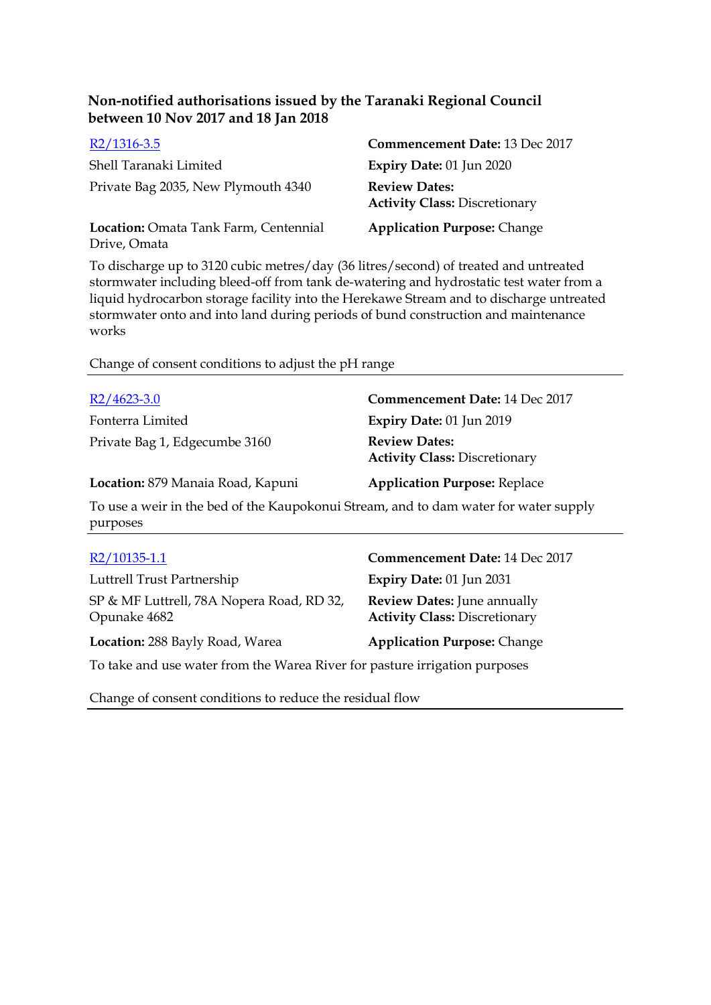| $R2/1316-3.5$                                         | Commencement Date: 13 Dec 2017                               |
|-------------------------------------------------------|--------------------------------------------------------------|
| Shell Taranaki Limited                                | Expiry Date: 01 Jun 2020                                     |
| Private Bag 2035, New Plymouth 4340                   | <b>Review Dates:</b><br><b>Activity Class: Discretionary</b> |
| Location: Omata Tank Farm, Centennial<br>Drive, Omata | <b>Application Purpose: Change</b>                           |

To discharge up to 3120 cubic metres/day (36 litres/second) of treated and untreated stormwater including bleed-off from tank de-watering and hydrostatic test water from a liquid hydrocarbon storage facility into the Herekawe Stream and to discharge untreated stormwater onto and into land during periods of bund construction and maintenance works

Change of consent conditions to adjust the pH range

| $R2/4623-3.0$                                                                                    | Commencement Date: 14 Dec 2017                               |
|--------------------------------------------------------------------------------------------------|--------------------------------------------------------------|
| Fonterra Limited                                                                                 | Expiry Date: 01 Jun 2019                                     |
| Private Bag 1, Edgecumbe 3160                                                                    | <b>Review Dates:</b><br><b>Activity Class: Discretionary</b> |
| Location: 879 Manaia Road, Kapuni                                                                | <b>Application Purpose: Replace</b>                          |
| To use a weir in the bed of the Kaupokonui Stream, and to dam water for water supply<br>purposes |                                                              |

| R2/10135-1.1                                                               | Commencement Date: 14 Dec 2017                                             |
|----------------------------------------------------------------------------|----------------------------------------------------------------------------|
| Luttrell Trust Partnership                                                 | Expiry Date: 01 Jun 2031                                                   |
| SP & MF Luttrell, 78A Nopera Road, RD 32,<br>Opunake 4682                  | <b>Review Dates:</b> June annually<br><b>Activity Class: Discretionary</b> |
| Location: 288 Bayly Road, Warea                                            | <b>Application Purpose: Change</b>                                         |
| To take and use water from the Warea River for pasture irrigation purposes |                                                                            |

Change of consent conditions to reduce the residual flow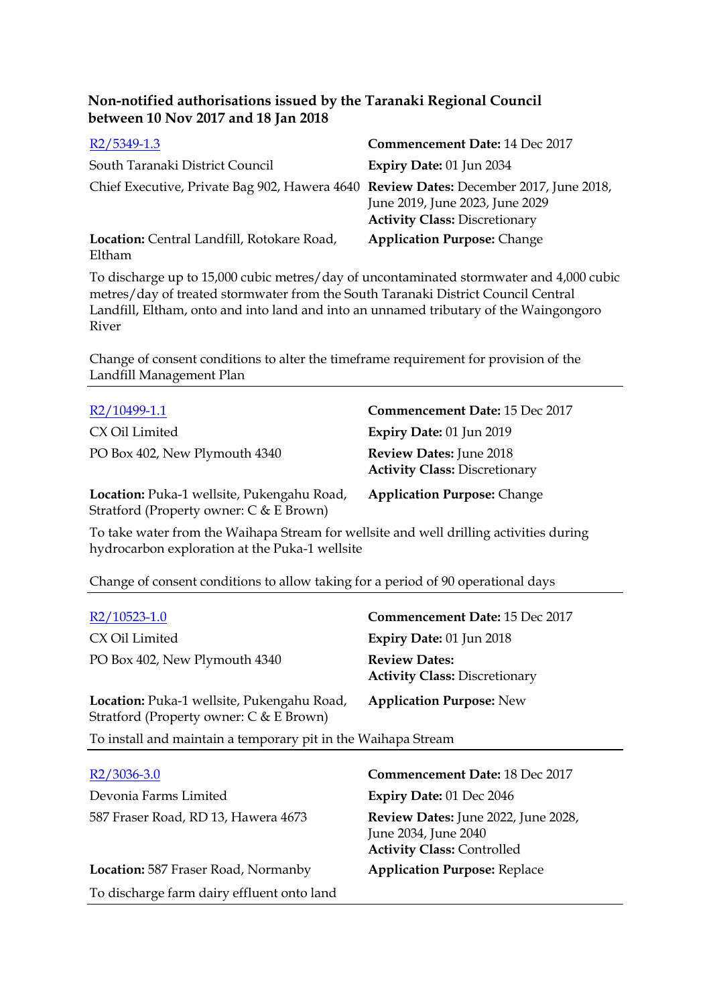| $R2/5349-1.3$                                                                         | Commencement Date: 14 Dec 2017                                          |
|---------------------------------------------------------------------------------------|-------------------------------------------------------------------------|
| South Taranaki District Council                                                       | <b>Expiry Date: 01 Jun 2034</b>                                         |
| Chief Executive, Private Bag 902, Hawera 4640 Review Dates: December 2017, June 2018, | June 2019, June 2023, June 2029<br><b>Activity Class: Discretionary</b> |
| Location: Central Landfill, Rotokare Road,<br>Eltham                                  | <b>Application Purpose: Change</b>                                      |

To discharge up to 15,000 cubic metres/day of uncontaminated stormwater and 4,000 cubic metres/day of treated stormwater from the South Taranaki District Council Central Landfill, Eltham, onto and into land and into an unnamed tributary of the Waingongoro River

Change of consent conditions to alter the timeframe requirement for provision of the Landfill Management Plan

| R2/10499-1.1                               | <b>Commencement Date: 15 Dec 2017</b>                                  |
|--------------------------------------------|------------------------------------------------------------------------|
| CX Oil Limited                             | Expiry Date: 01 Jun 2019                                               |
| PO Box 402, New Plymouth 4340              | <b>Review Dates: June 2018</b><br><b>Activity Class: Discretionary</b> |
| Location: Puka-1 wellsite, Pukengahu Road, | <b>Application Purpose: Change</b>                                     |

To take water from the Waihapa Stream for wellsite and well drilling activities during hydrocarbon exploration at the Puka-1 wellsite

Change of consent conditions to allow taking for a period of 90 operational days

Stratford (Property owner: C & E Brown)

To discharge farm dairy effluent onto land

| R2/10523-1.0                                                                                 | <b>Commencement Date: 15 Dec 2017</b>                                                                   |
|----------------------------------------------------------------------------------------------|---------------------------------------------------------------------------------------------------------|
| CX Oil Limited                                                                               | <b>Expiry Date: 01 Jun 2018</b>                                                                         |
| PO Box 402, New Plymouth 4340                                                                | <b>Review Dates:</b><br><b>Activity Class: Discretionary</b>                                            |
| <b>Location:</b> Puka-1 wellsite, Pukengahu Road,<br>Stratford (Property owner: C & E Brown) | <b>Application Purpose: New</b>                                                                         |
| To install and maintain a temporary pit in the Waihapa Stream                                |                                                                                                         |
| R2/3036-3.0                                                                                  | <b>Commencement Date: 18 Dec 2017</b>                                                                   |
| Devonia Farms Limited                                                                        | <b>Expiry Date: 01 Dec 2046</b>                                                                         |
| 587 Fraser Road, RD 13, Hawera 4673                                                          | <b>Review Dates:</b> June 2022, June 2028,<br>June 2034, June 2040<br><b>Activity Class: Controlled</b> |

**Location:** 587 Fraser Road, Normanby **Application Purpose:** Replace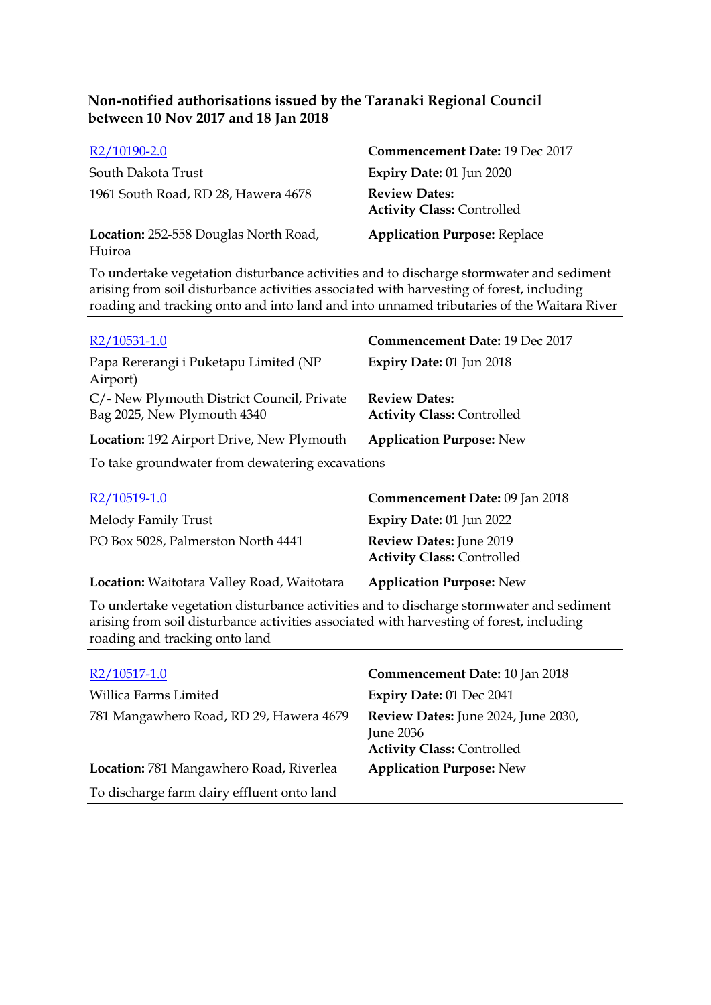| R2/10190-2.0                                    | Commencement Date: 19 Dec 2017                            |
|-------------------------------------------------|-----------------------------------------------------------|
| South Dakota Trust                              | Expiry Date: $01$ Jun $2020$                              |
| 1961 South Road, RD 28, Hawera 4678             | <b>Review Dates:</b><br><b>Activity Class: Controlled</b> |
| Location: 252-558 Douglas North Road,<br>Huiroa | <b>Application Purpose: Replace</b>                       |

To undertake vegetation disturbance activities and to discharge stormwater and sediment arising from soil disturbance activities associated with harvesting of forest, including roading and tracking onto and into land and into unnamed tributaries of the Waitara River

| $R2/10531-1.0$                                                            | Commencement Date: 19 Dec 2017                            |
|---------------------------------------------------------------------------|-----------------------------------------------------------|
| Papa Rererangi i Puketapu Limited (NP<br>Airport)                         | Expiry Date: 01 Jun 2018                                  |
| C/- New Plymouth District Council, Private<br>Bag 2025, New Plymouth 4340 | <b>Review Dates:</b><br><b>Activity Class: Controlled</b> |
| Location: 192 Airport Drive, New Plymouth                                 | <b>Application Purpose: New</b>                           |
| To take groundwater from dewatering excavations                           |                                                           |
|                                                                           |                                                           |

| R2/10519-1.0                               | Commencement Date: 09 Jan 2018                               |
|--------------------------------------------|--------------------------------------------------------------|
| Melody Family Trust                        | Expiry Date: 01 Jun 2022                                     |
| PO Box 5028, Palmerston North 4441         | Review Dates: June 2019<br><b>Activity Class: Controlled</b> |
| Location: Waitotara Valley Road, Waitotara | <b>Application Purpose: New</b>                              |

To undertake vegetation disturbance activities and to discharge stormwater and sediment arising from soil disturbance activities associated with harvesting of forest, including roading and tracking onto land

| $R2/10517-1.0$                             | Commencement Date: 10 Jan 2018                                                               |
|--------------------------------------------|----------------------------------------------------------------------------------------------|
| Willica Farms Limited                      | Expiry Date: 01 Dec 2041                                                                     |
| 781 Mangawhero Road, RD 29, Hawera 4679    | Review Dates: June 2024, June 2030,<br><b>June 2036</b><br><b>Activity Class: Controlled</b> |
| Location: 781 Mangawhero Road, Riverlea    | <b>Application Purpose: New</b>                                                              |
| To discharge farm dairy effluent onto land |                                                                                              |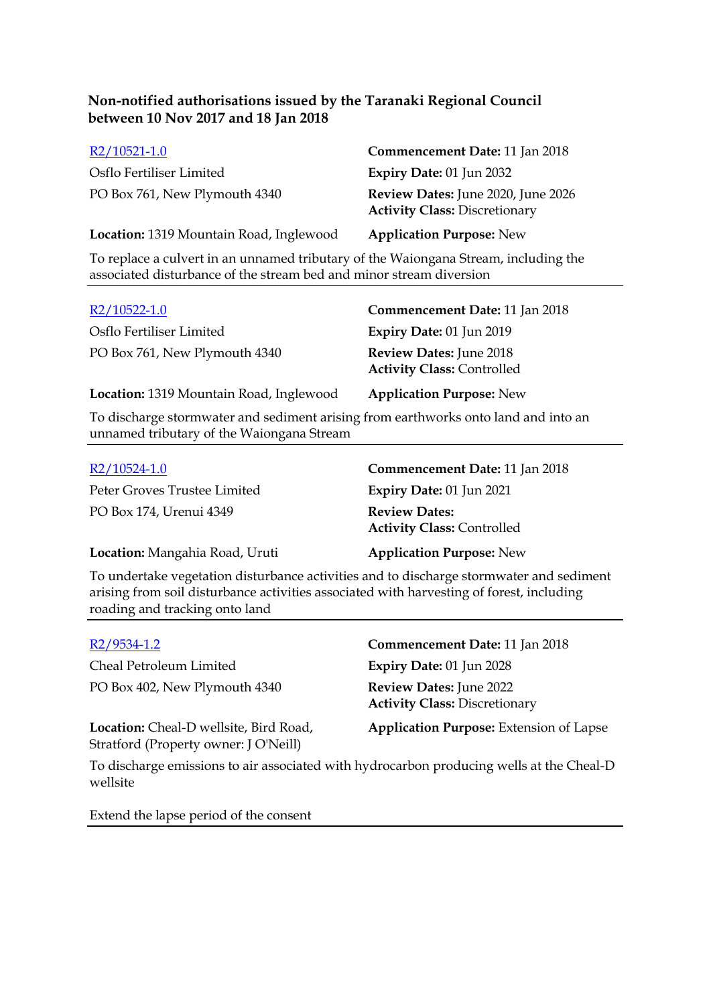| $R2/10521-1.0$                                                                     | Commencement Date: 11 Jan 2018                                             |
|------------------------------------------------------------------------------------|----------------------------------------------------------------------------|
| Osflo Fertiliser Limited                                                           | <b>Expiry Date: 01 Jun 2032</b>                                            |
| PO Box 761, New Plymouth 4340                                                      | Review Dates: June 2020, June 2026<br><b>Activity Class: Discretionary</b> |
| Location: 1319 Mountain Road, Inglewood                                            | <b>Application Purpose: New</b>                                            |
| To replace a cultivity on unnamed tributary of the Weiengane Stream, including the |                                                                            |

To replace a culvert in an unnamed tributary of the Waiongana Stream, including the associated disturbance of the stream bed and minor stream diversion

| $R2/10522-1.0$                          | Commencement Date: 11 Jan 2018                                      |
|-----------------------------------------|---------------------------------------------------------------------|
| Osflo Fertiliser Limited                | Expiry Date: 01 Jun 2019                                            |
| PO Box 761, New Plymouth 4340           | <b>Review Dates: June 2018</b><br><b>Activity Class: Controlled</b> |
| Location: 1319 Mountain Road, Inglewood | <b>Application Purpose: New</b>                                     |

To discharge stormwater and sediment arising from earthworks onto land and into an unnamed tributary of the Waiongana Stream

| $R2/10524-1.0$                 | <b>Commencement Date: 11 Jan 2018</b>                     |
|--------------------------------|-----------------------------------------------------------|
| Peter Groves Trustee Limited   | <b>Expiry Date: 01 Jun 2021</b>                           |
| PO Box 174, Urenui 4349        | <b>Review Dates:</b><br><b>Activity Class: Controlled</b> |
| Location: Mangahia Road, Uruti | <b>Application Purpose: New</b>                           |

To undertake vegetation disturbance activities and to discharge stormwater and sediment arising from soil disturbance activities associated with harvesting of forest, including roading and tracking onto land

| $R2/9534-1.2$                                                                   | Commencement Date: 11 Jan 2018                                         |
|---------------------------------------------------------------------------------|------------------------------------------------------------------------|
| Cheal Petroleum Limited                                                         | <b>Expiry Date: 01 Jun 2028</b>                                        |
| PO Box 402, New Plymouth 4340                                                   | <b>Review Dates: June 2022</b><br><b>Activity Class: Discretionary</b> |
| Location: Cheal-D wellsite, Bird Road,<br>Stratford (Property owner: J O'Neill) | <b>Application Purpose:</b> Extension of Lapse                         |

To discharge emissions to air associated with hydrocarbon producing wells at the Cheal-D wellsite

Extend the lapse period of the consent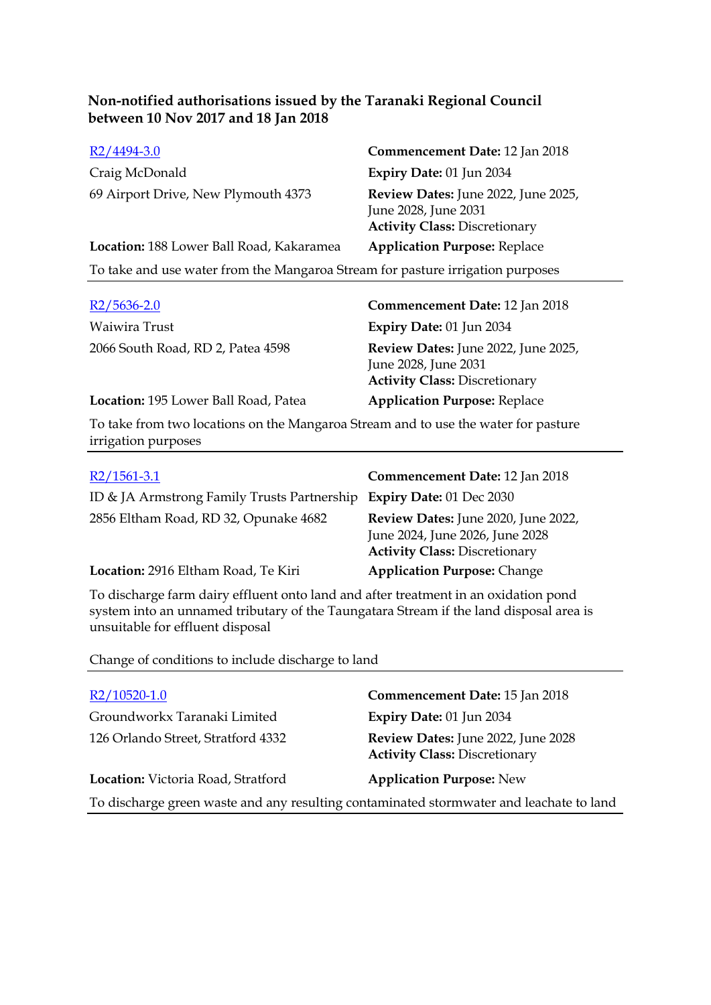| $R2/4494-3.0$                                                                  | Commencement Date: 12 Jan 2018                                                                      |  |
|--------------------------------------------------------------------------------|-----------------------------------------------------------------------------------------------------|--|
| Craig McDonald                                                                 | Expiry Date: 01 Jun 2034                                                                            |  |
| 69 Airport Drive, New Plymouth 4373                                            | Review Dates: June 2022, June 2025,<br>June 2028, June 2031<br><b>Activity Class: Discretionary</b> |  |
| Location: 188 Lower Ball Road, Kakaramea                                       | <b>Application Purpose: Replace</b>                                                                 |  |
| To take and use water from the Mangaroa Stream for pasture irrigation purposes |                                                                                                     |  |
|                                                                                |                                                                                                     |  |

| $R2/5636-2.0$                        | <b>Commencement Date: 12 Jan 2018</b>                                                               |
|--------------------------------------|-----------------------------------------------------------------------------------------------------|
| Waiwira Trust                        | <b>Expiry Date: 01 Jun 2034</b>                                                                     |
| 2066 South Road, RD 2, Patea 4598    | Review Dates: June 2022, June 2025,<br>June 2028, June 2031<br><b>Activity Class: Discretionary</b> |
| Location: 195 Lower Ball Road, Patea | <b>Application Purpose: Replace</b>                                                                 |

To take from two locations on the Mangaroa Stream and to use the water for pasture irrigation purposes

| $R2/1561-3.1$                                                        | Commencement Date: 12 Jan 2018                                                                                 |
|----------------------------------------------------------------------|----------------------------------------------------------------------------------------------------------------|
| ID & JA Armstrong Family Trusts Partnership Expiry Date: 01 Dec 2030 |                                                                                                                |
| 2856 Eltham Road, RD 32, Opunake 4682                                | Review Dates: June 2020, June 2022,<br>June 2024, June 2026, June 2028<br><b>Activity Class: Discretionary</b> |
| Location: 2916 Eltham Road, Te Kiri                                  | <b>Application Purpose: Change</b>                                                                             |

To discharge farm dairy effluent onto land and after treatment in an oxidation pond system into an unnamed tributary of the Taungatara Stream if the land disposal area is unsuitable for effluent disposal

Change of conditions to include discharge to land

| R2/10520-1.0                                                                            | Commencement Date: 15 Jan 2018                                             |  |
|-----------------------------------------------------------------------------------------|----------------------------------------------------------------------------|--|
| Groundworkx Taranaki Limited                                                            | Expiry Date: 01 Jun 2034                                                   |  |
| 126 Orlando Street, Stratford 4332                                                      | Review Dates: June 2022, June 2028<br><b>Activity Class: Discretionary</b> |  |
| Location: Victoria Road, Stratford                                                      | <b>Application Purpose: New</b>                                            |  |
| To discharge green waste and any resulting contaminated stormwater and leachate to land |                                                                            |  |